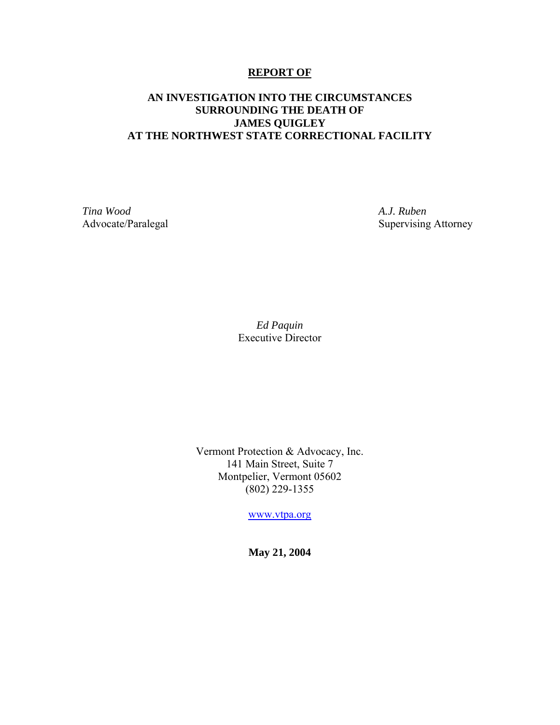#### **REPORT OF**

#### **AN INVESTIGATION INTO THE CIRCUMSTANCES SURROUNDING THE DEATH OF JAMES QUIGLEY AT THE NORTHWEST STATE CORRECTIONAL FACILITY**

*Tina Wood A.J. Ruben* 

Advocate/Paralegal Supervising Attorney

*Ed Paquin*  Executive Director

Vermont Protection & Advocacy, Inc. 141 Main Street, Suite 7 Montpelier, Vermont 05602 (802) 229-1355

www.vtpa.org

**May 21, 2004**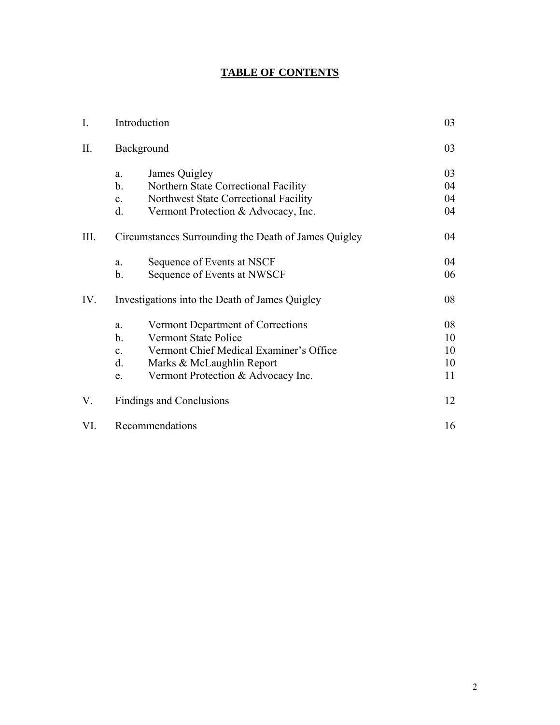# **TABLE OF CONTENTS**

| I.   | Introduction                                                                                                                                                                                                                        | 03                         |
|------|-------------------------------------------------------------------------------------------------------------------------------------------------------------------------------------------------------------------------------------|----------------------------|
| II.  | Background                                                                                                                                                                                                                          | 03                         |
|      | James Quigley<br>a.<br>$\mathbf b$ .<br>Northern State Correctional Facility<br>Northwest State Correctional Facility<br>$\mathbf{c}$ .                                                                                             | 03<br>04<br>04             |
|      | d.<br>Vermont Protection & Advocacy, Inc.                                                                                                                                                                                           | 04                         |
| III. | Circumstances Surrounding the Death of James Quigley                                                                                                                                                                                | 04                         |
|      | Sequence of Events at NSCF<br>a.<br>$\mathbf b$ .<br>Sequence of Events at NWSCF                                                                                                                                                    | 04<br>06                   |
| IV.  | Investigations into the Death of James Quigley                                                                                                                                                                                      | 08                         |
|      | Vermont Department of Corrections<br>a.<br>$\mathbf b$ .<br><b>Vermont State Police</b><br>Vermont Chief Medical Examiner's Office<br>$\mathbf{c}$ .<br>d.<br>Marks & McLaughlin Report<br>Vermont Protection & Advocacy Inc.<br>e. | 08<br>10<br>10<br>10<br>11 |
| V.   | Findings and Conclusions                                                                                                                                                                                                            | 12                         |
| VI.  | Recommendations                                                                                                                                                                                                                     | 16                         |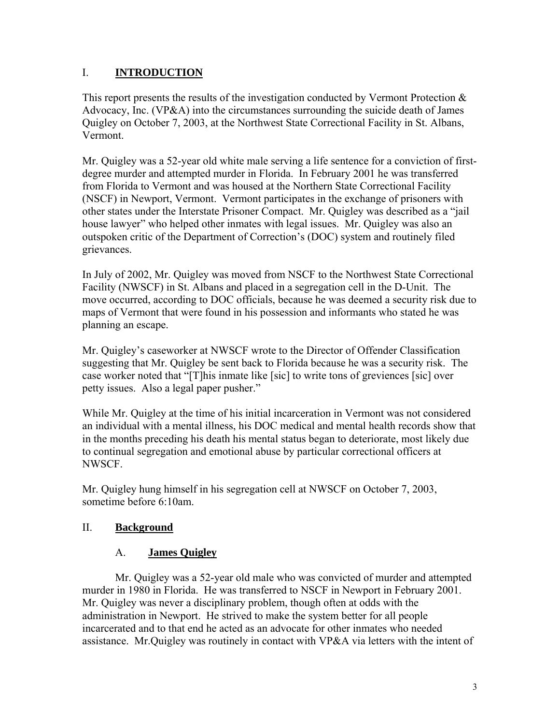## I. **INTRODUCTION**

This report presents the results of the investigation conducted by Vermont Protection  $\&$ Advocacy, Inc.  $(VP\&A)$  into the circumstances surrounding the suicide death of James Quigley on October 7, 2003, at the Northwest State Correctional Facility in St. Albans, Vermont.

Mr. Quigley was a 52-year old white male serving a life sentence for a conviction of firstdegree murder and attempted murder in Florida. In February 2001 he was transferred from Florida to Vermont and was housed at the Northern State Correctional Facility (NSCF) in Newport, Vermont. Vermont participates in the exchange of prisoners with other states under the Interstate Prisoner Compact. Mr. Quigley was described as a "jail house lawyer" who helped other inmates with legal issues. Mr. Quigley was also an outspoken critic of the Department of Correction's (DOC) system and routinely filed grievances.

In July of 2002, Mr. Quigley was moved from NSCF to the Northwest State Correctional Facility (NWSCF) in St. Albans and placed in a segregation cell in the D-Unit. The move occurred, according to DOC officials, because he was deemed a security risk due to maps of Vermont that were found in his possession and informants who stated he was planning an escape.

Mr. Quigley's caseworker at NWSCF wrote to the Director of Offender Classification suggesting that Mr. Quigley be sent back to Florida because he was a security risk. The case worker noted that "[T]his inmate like [sic] to write tons of greviences [sic] over petty issues. Also a legal paper pusher."

While Mr. Quigley at the time of his initial incarceration in Vermont was not considered an individual with a mental illness, his DOC medical and mental health records show that in the months preceding his death his mental status began to deteriorate, most likely due to continual segregation and emotional abuse by particular correctional officers at NWSCF.

Mr. Quigley hung himself in his segregation cell at NWSCF on October 7, 2003, sometime before 6:10am.

# II. **Background**

### A. **James Quigley**

Mr. Quigley was a 52-year old male who was convicted of murder and attempted murder in 1980 in Florida. He was transferred to NSCF in Newport in February 2001. Mr. Quigley was never a disciplinary problem, though often at odds with the administration in Newport. He strived to make the system better for all people incarcerated and to that end he acted as an advocate for other inmates who needed assistance. Mr.Quigley was routinely in contact with VP&A via letters with the intent of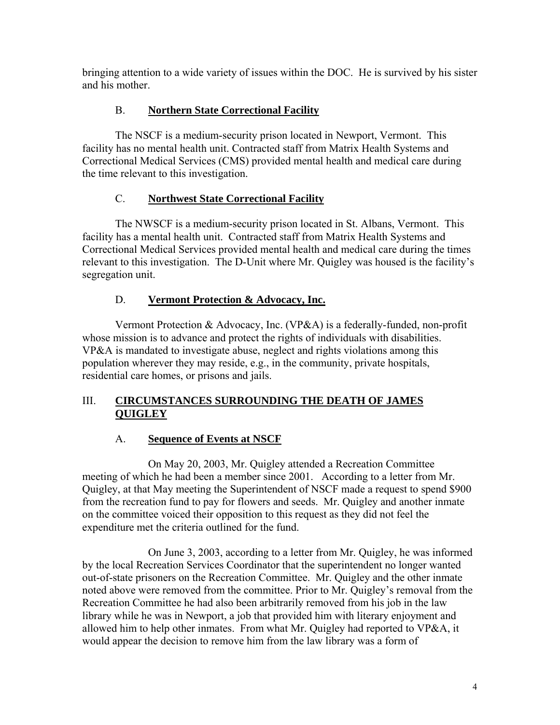bringing attention to a wide variety of issues within the DOC. He is survived by his sister and his mother.

# B. **Northern State Correctional Facility**

The NSCF is a medium-security prison located in Newport, Vermont. This facility has no mental health unit. Contracted staff from Matrix Health Systems and Correctional Medical Services (CMS) provided mental health and medical care during the time relevant to this investigation.

# C. **Northwest State Correctional Facility**

The NWSCF is a medium-security prison located in St. Albans, Vermont. This facility has a mental health unit. Contracted staff from Matrix Health Systems and Correctional Medical Services provided mental health and medical care during the times relevant to this investigation. The D-Unit where Mr. Quigley was housed is the facility's segregation unit.

# D. **Vermont Protection & Advocacy, Inc.**

Vermont Protection & Advocacy, Inc. (VP&A) is a federally-funded, non-profit whose mission is to advance and protect the rights of individuals with disabilities. VP&A is mandated to investigate abuse, neglect and rights violations among this population wherever they may reside, e.g., in the community, private hospitals, residential care homes, or prisons and jails.

# III. **CIRCUMSTANCES SURROUNDING THE DEATH OF JAMES QUIGLEY**

# A. **Sequence of Events at NSCF**

On May 20, 2003, Mr. Quigley attended a Recreation Committee meeting of which he had been a member since 2001. According to a letter from Mr. Quigley, at that May meeting the Superintendent of NSCF made a request to spend \$900 from the recreation fund to pay for flowers and seeds. Mr. Quigley and another inmate on the committee voiced their opposition to this request as they did not feel the expenditure met the criteria outlined for the fund.

On June 3, 2003, according to a letter from Mr. Quigley, he was informed by the local Recreation Services Coordinator that the superintendent no longer wanted out-of-state prisoners on the Recreation Committee. Mr. Quigley and the other inmate noted above were removed from the committee. Prior to Mr. Quigley's removal from the Recreation Committee he had also been arbitrarily removed from his job in the law library while he was in Newport, a job that provided him with literary enjoyment and allowed him to help other inmates. From what Mr. Quigley had reported to VP&A, it would appear the decision to remove him from the law library was a form of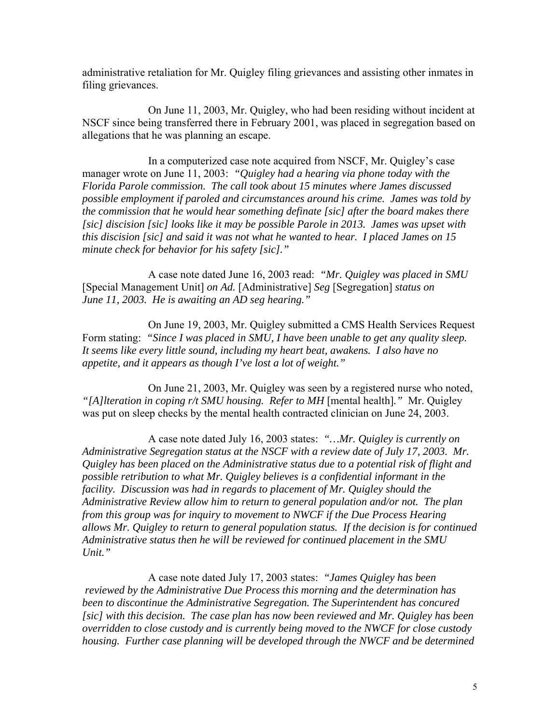administrative retaliation for Mr. Quigley filing grievances and assisting other inmates in filing grievances.

On June 11, 2003, Mr. Quigley, who had been residing without incident at NSCF since being transferred there in February 2001, was placed in segregation based on allegations that he was planning an escape.

In a computerized case note acquired from NSCF, Mr. Quigley's case manager wrote on June 11, 2003: *"Quigley had a hearing via phone today with the Florida Parole commission. The call took about 15 minutes where James discussed possible employment if paroled and circumstances around his crime. James was told by the commission that he would hear something definate [sic] after the board makes there [sic] discision [sic] looks like it may be possible Parole in 2013. James was upset with this discision [sic] and said it was not what he wanted to hear. I placed James on 15 minute check for behavior for his safety [sic]."* 

A case note dated June 16, 2003 read: *"Mr. Quigley was placed in SMU*  [Special Management Unit] *on Ad.* [Administrative] *Seg* [Segregation] *status on June 11, 2003. He is awaiting an AD seg hearing."* 

On June 19, 2003, Mr. Quigley submitted a CMS Health Services Request Form stating: *"Since I was placed in SMU, I have been unable to get any quality sleep. It seems like every little sound, including my heart beat, awakens. I also have no appetite, and it appears as though I've lost a lot of weight."*

On June 21, 2003, Mr. Quigley was seen by a registered nurse who noted, *"[A]lteration in coping r/t SMU housing. Refer to MH* [mental health]*."* Mr. Quigley was put on sleep checks by the mental health contracted clinician on June 24, 2003.

A case note dated July 16, 2003 states: *"…Mr. Quigley is currently on Administrative Segregation status at the NSCF with a review date of July 17, 2003. Mr. Quigley has been placed on the Administrative status due to a potential risk of flight and possible retribution to what Mr. Quigley believes is a confidential informant in the facility. Discussion was had in regards to placement of Mr. Quigley should the Administrative Review allow him to return to general population and/or not. The plan from this group was for inquiry to movement to NWCF if the Due Process Hearing allows Mr. Quigley to return to general population status. If the decision is for continued Administrative status then he will be reviewed for continued placement in the SMU Unit."* 

A case note dated July 17, 2003 states: *"James Quigley has been reviewed by the Administrative Due Process this morning and the determination has been to discontinue the Administrative Segregation. The Superintendent has concured [sic] with this decision. The case plan has now been reviewed and Mr. Quigley has been overridden to close custody and is currently being moved to the NWCF for close custody housing. Further case planning will be developed through the NWCF and be determined*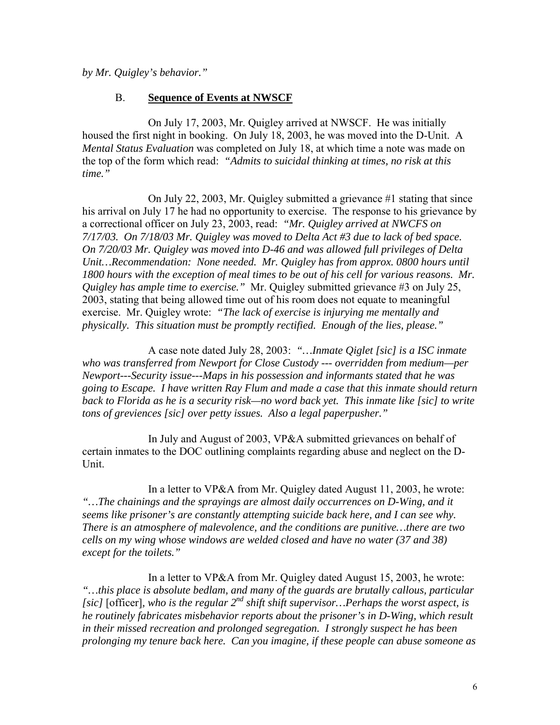*by Mr. Quigley's behavior."* 

#### B. **Sequence of Events at NWSCF**

On July 17, 2003, Mr. Quigley arrived at NWSCF. He was initially housed the first night in booking. On July 18, 2003, he was moved into the D-Unit. A *Mental Status Evaluation* was completed on July 18, at which time a note was made on the top of the form which read: *"Admits to suicidal thinking at times, no risk at this time."* 

On July 22, 2003, Mr. Quigley submitted a grievance #1 stating that since his arrival on July 17 he had no opportunity to exercise. The response to his grievance by a correctional officer on July 23, 2003, read: *"Mr. Quigley arrived at NWCFS on 7/17/03. On 7/18/03 Mr. Quigley was moved to Delta Act #3 due to lack of bed space. On 7/20/03 Mr. Quigley was moved into D-46 and was allowed full privileges of Delta Unit…Recommendation: None needed. Mr. Quigley has from approx. 0800 hours until 1800 hours with the exception of meal times to be out of his cell for various reasons. Mr. Quigley has ample time to exercise."* Mr. Quigley submitted grievance #3 on July 25, 2003, stating that being allowed time out of his room does not equate to meaningful exercise. Mr. Quigley wrote: *"The lack of exercise is injurying me mentally and physically. This situation must be promptly rectified. Enough of the lies, please."*

A case note dated July 28, 2003: *"…Inmate Qiglet [sic] is a ISC inmate who was transferred from Newport for Close Custody --- overridden from medium—per Newport---Security issue---Maps in his possession and informants stated that he was going to Escape. I have written Ray Flum and made a case that this inmate should return back to Florida as he is a security risk—no word back yet. This inmate like [sic] to write tons of greviences [sic] over petty issues. Also a legal paperpusher."*

In July and August of 2003, VP&A submitted grievances on behalf of certain inmates to the DOC outlining complaints regarding abuse and neglect on the D-Unit.

In a letter to VP&A from Mr. Quigley dated August 11, 2003, he wrote: *"…The chainings and the sprayings are almost daily occurrences on D-Wing, and it seems like prisoner's are constantly attempting suicide back here, and I can see why. There is an atmosphere of malevolence, and the conditions are punitive…there are two cells on my wing whose windows are welded closed and have no water (37 and 38) except for the toilets."*

In a letter to VP&A from Mr. Quigley dated August 15, 2003, he wrote: *"…this place is absolute bedlam, and many of the guards are brutally callous, particular [sic]* [officer]*, who is the regular*  $2^{nd}$  *shift shift supervisor... Perhaps the worst aspect, is he routinely fabricates misbehavior reports about the prisoner's in D-Wing, which result in their missed recreation and prolonged segregation. I strongly suspect he has been prolonging my tenure back here. Can you imagine, if these people can abuse someone as*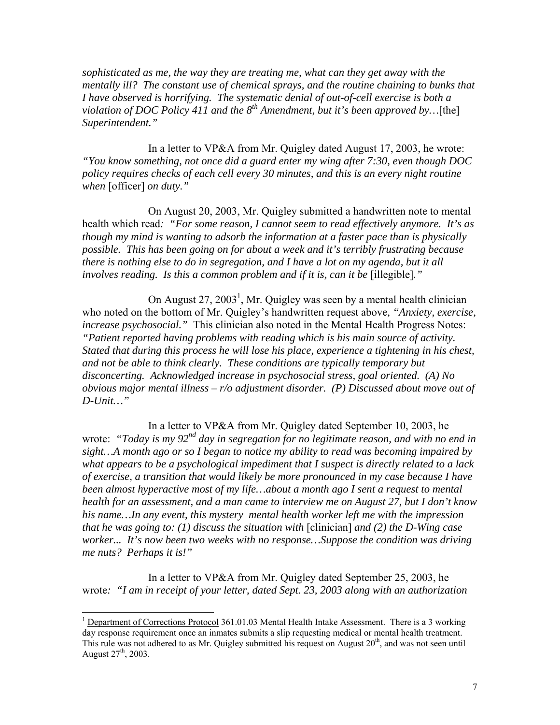*sophisticated as me, the way they are treating me, what can they get away with the mentally ill? The constant use of chemical sprays, and the routine chaining to bunks that I have observed is horrifying. The systematic denial of out-of-cell exercise is both a violation of DOC Policy 411 and the 8th Amendment, but it's been approved by…*[the] *Superintendent."*

In a letter to VP&A from Mr. Quigley dated August 17, 2003, he wrote: *"You know something, not once did a guard enter my wing after 7:30, even though DOC policy requires checks of each cell every 30 minutes, and this is an every night routine when* [officer] *on duty."*

On August 20, 2003, Mr. Quigley submitted a handwritten note to mental health which read*: "For some reason, I cannot seem to read effectively anymore. It's as though my mind is wanting to adsorb the information at a faster pace than is physically possible. This has been going on for about a week and it's terribly frustrating because there is nothing else to do in segregation, and I have a lot on my agenda, but it all involves reading. Is this a common problem and if it is, can it be* [illegible]*."*

On August  $27, 2003<sup>1</sup>$ , Mr. Quigley was seen by a mental health clinician who noted on the bottom of Mr. Quigley's handwritten request above*, "Anxiety, exercise, increase psychosocial."* This clinician also noted in the Mental Health Progress Notes: *"Patient reported having problems with reading which is his main source of activity. Stated that during this process he will lose his place, experience a tightening in his chest, and not be able to think clearly. These conditions are typically temporary but disconcerting. Acknowledged increase in psychosocial stress, goal oriented. (A) No obvious major mental illness – r/o adjustment disorder. (P) Discussed about move out of D-Unit…"* 

In a letter to VP&A from Mr. Quigley dated September 10, 2003, he wrote: *"Today is my 92nd day in segregation for no legitimate reason, and with no end in sight…A month ago or so I began to notice my ability to read was becoming impaired by what appears to be a psychological impediment that I suspect is directly related to a lack of exercise, a transition that would likely be more pronounced in my case because I have been almost hyperactive most of my life…about a month ago I sent a request to mental health for an assessment, and a man came to interview me on August 27, but I don't know his name…In any event, this mystery mental health worker left me with the impression that he was going to: (1) discuss the situation with* [clinician] *and (2) the D-Wing case worker... It's now been two weeks with no response…Suppose the condition was driving me nuts? Perhaps it is!"*

In a letter to VP&A from Mr. Quigley dated September 25, 2003, he wrote*: "I am in receipt of your letter, dated Sept. 23, 2003 along with an authorization* 

<sup>&</sup>lt;sup>1</sup> Department of Corrections Protocol 361.01.03 Mental Health Intake Assessment. There is a 3 working day response requirement once an inmates submits a slip requesting medical or mental health treatment. This rule was not adhered to as Mr. Quigley submitted his request on August  $20<sup>th</sup>$ , and was not seen until August  $27^{th}$ , 2003.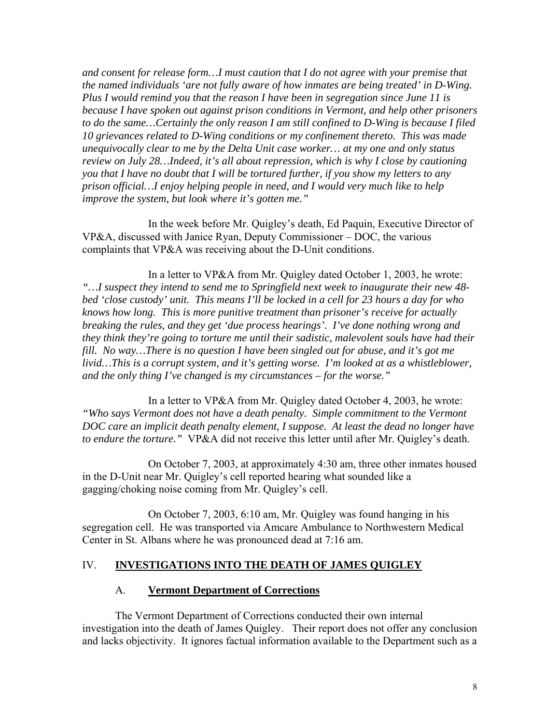*and consent for release form…I must caution that I do not agree with your premise that the named individuals 'are not fully aware of how inmates are being treated' in D-Wing. Plus I would remind you that the reason I have been in segregation since June 11 is because I have spoken out against prison conditions in Vermont, and help other prisoners to do the same…Certainly the only reason I am still confined to D-Wing is because I filed 10 grievances related to D-Wing conditions or my confinement thereto. This was made unequivocally clear to me by the Delta Unit case worker… at my one and only status review on July 28…Indeed, it's all about repression, which is why I close by cautioning you that I have no doubt that I will be tortured further, if you show my letters to any prison official…I enjoy helping people in need, and I would very much like to help improve the system, but look where it's gotten me."* 

In the week before Mr. Quigley's death, Ed Paquin, Executive Director of VP&A, discussed with Janice Ryan, Deputy Commissioner – DOC, the various complaints that VP&A was receiving about the D-Unit conditions.

In a letter to VP&A from Mr. Quigley dated October 1, 2003, he wrote: *"…I suspect they intend to send me to Springfield next week to inaugurate their new 48 bed 'close custody' unit. This means I'll be locked in a cell for 23 hours a day for who knows how long. This is more punitive treatment than prisoner's receive for actually breaking the rules, and they get 'due process hearings'. I've done nothing wrong and they think they're going to torture me until their sadistic, malevolent souls have had their fill. No way…There is no question I have been singled out for abuse, and it's got me livid…This is a corrupt system, and it's getting worse. I'm looked at as a whistleblower, and the only thing I've changed is my circumstances – for the worse."* 

In a letter to VP&A from Mr. Quigley dated October 4, 2003, he wrote: *"Who says Vermont does not have a death penalty. Simple commitment to the Vermont DOC care an implicit death penalty element, I suppose. At least the dead no longer have to endure the torture."* VP&A did not receive this letter until after Mr. Quigley's death.

On October 7, 2003, at approximately 4:30 am, three other inmates housed in the D-Unit near Mr. Quigley's cell reported hearing what sounded like a gagging/choking noise coming from Mr. Quigley's cell.

 On October 7, 2003, 6:10 am, Mr. Quigley was found hanging in his segregation cell. He was transported via Amcare Ambulance to Northwestern Medical Center in St. Albans where he was pronounced dead at 7:16 am.

#### IV. **INVESTIGATIONS INTO THE DEATH OF JAMES QUIGLEY**

#### A. **Vermont Department of Corrections**

The Vermont Department of Corrections conducted their own internal investigation into the death of James Quigley. Their report does not offer any conclusion and lacks objectivity. It ignores factual information available to the Department such as a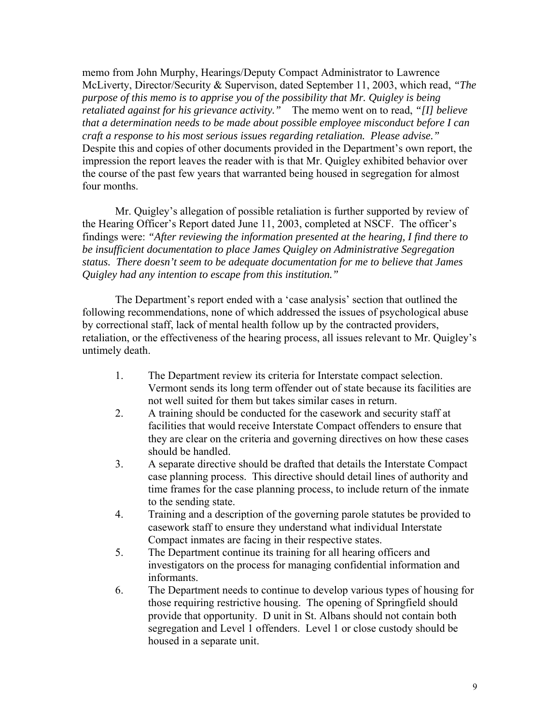memo from John Murphy, Hearings/Deputy Compact Administrator to Lawrence McLiverty, Director/Security & Supervison, dated September 11, 2003, which read, *"The purpose of this memo is to apprise you of the possibility that Mr. Quigley is being retaliated against for his grievance activity."* The memo went on to read, *"[I] believe that a determination needs to be made about possible employee misconduct before I can craft a response to his most serious issues regarding retaliation. Please advise."*  Despite this and copies of other documents provided in the Department's own report, the impression the report leaves the reader with is that Mr. Quigley exhibited behavior over the course of the past few years that warranted being housed in segregation for almost four months.

Mr. Quigley's allegation of possible retaliation is further supported by review of the Hearing Officer's Report dated June 11, 2003, completed at NSCF. The officer's findings were: *"After reviewing the information presented at the hearing, I find there to be insufficient documentation to place James Quigley on Administrative Segregation status. There doesn't seem to be adequate documentation for me to believe that James Quigley had any intention to escape from this institution."* 

The Department's report ended with a 'case analysis' section that outlined the following recommendations, none of which addressed the issues of psychological abuse by correctional staff, lack of mental health follow up by the contracted providers, retaliation, or the effectiveness of the hearing process, all issues relevant to Mr. Quigley's untimely death.

- 1. The Department review its criteria for Interstate compact selection. Vermont sends its long term offender out of state because its facilities are not well suited for them but takes similar cases in return.
- 2. A training should be conducted for the casework and security staff at facilities that would receive Interstate Compact offenders to ensure that they are clear on the criteria and governing directives on how these cases should be handled.
- 3. A separate directive should be drafted that details the Interstate Compact case planning process. This directive should detail lines of authority and time frames for the case planning process, to include return of the inmate to the sending state.
- 4. Training and a description of the governing parole statutes be provided to casework staff to ensure they understand what individual Interstate Compact inmates are facing in their respective states.
- 5. The Department continue its training for all hearing officers and investigators on the process for managing confidential information and informants.
- 6. The Department needs to continue to develop various types of housing for those requiring restrictive housing. The opening of Springfield should provide that opportunity. D unit in St. Albans should not contain both segregation and Level 1 offenders. Level 1 or close custody should be housed in a separate unit.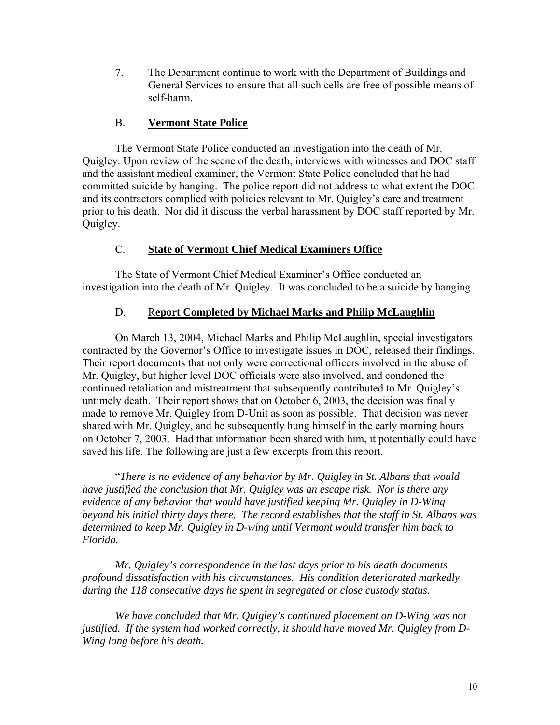7. The Department continue to work with the Department of Buildings and General Services to ensure that all such cells are free of possible means of self-harm.

#### B. **Vermont State Police**

The Vermont State Police conducted an investigation into the death of Mr. Quigley. Upon review of the scene of the death, interviews with witnesses and DOC staff and the assistant medical examiner, the Vermont State Police concluded that he had committed suicide by hanging. The police report did not address to what extent the DOC and its contractors complied with policies relevant to Mr. Quigley's care and treatment prior to his death. Nor did it discuss the verbal harassment by DOC staff reported by Mr. Quigley.

## C. **State of Vermont Chief Medical Examiners Office**

The State of Vermont Chief Medical Examiner's Office conducted an investigation into the death of Mr. Quigley. It was concluded to be a suicide by hanging.

### D. R**eport Completed by Michael Marks and Philip McLaughlin**

On March 13, 2004, Michael Marks and Philip McLaughlin, special investigators contracted by the Governor's Office to investigate issues in DOC, released their findings. Their report documents that not only were correctional officers involved in the abuse of Mr. Quigley, but higher level DOC officials were also involved, and condoned the continued retaliation and mistreatment that subsequently contributed to Mr. Quigley's untimely death. Their report shows that on October 6, 2003, the decision was finally made to remove Mr. Quigley from D-Unit as soon as possible. That decision was never shared with Mr. Quigley, and he subsequently hung himself in the early morning hours on October 7, 2003. Had that information been shared with him, it potentially could have saved his life. The following are just a few excerpts from this report.

 "*There is no evidence of any behavior by Mr. Quigley in St. Albans that would have justified the conclusion that Mr. Quigley was an escape risk. Nor is there any evidence of any behavior that would have justified keeping Mr. Quigley in D-Wing beyond his initial thirty days there. The record establishes that the staff in St. Albans was determined to keep Mr. Quigley in D-wing until Vermont would transfer him back to Florida.* 

*Mr. Quigley's correspondence in the last days prior to his death documents profound dissatisfaction with his circumstances. His condition deteriorated markedly during the 118 consecutive days he spent in segregated or close custody status.* 

*We have concluded that Mr. Quigley's continued placement on D-Wing was not justified. If the system had worked correctly, it should have moved Mr. Quigley from D-Wing long before his death.*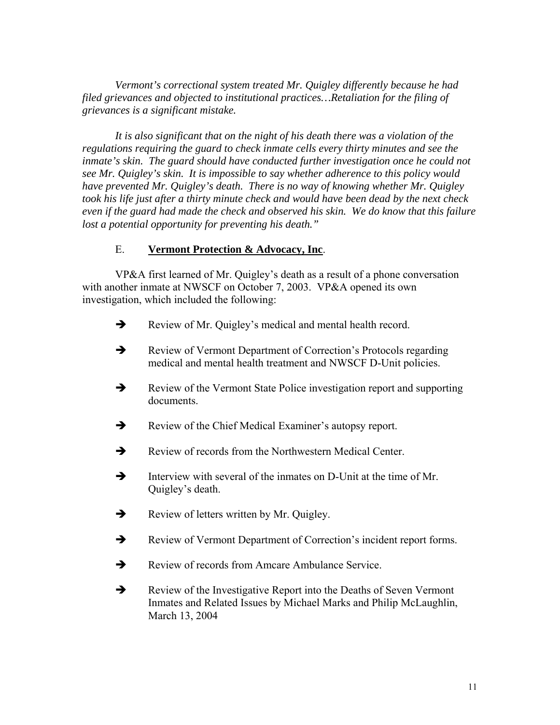*Vermont's correctional system treated Mr. Quigley differently because he had filed grievances and objected to institutional practices…Retaliation for the filing of grievances is a significant mistake.* 

*It is also significant that on the night of his death there was a violation of the regulations requiring the guard to check inmate cells every thirty minutes and see the*  inmate's skin. The guard should have conducted further investigation once he could not *see Mr. Quigley's skin. It is impossible to say whether adherence to this policy would have prevented Mr. Quigley's death. There is no way of knowing whether Mr. Quigley took his life just after a thirty minute check and would have been dead by the next check even if the guard had made the check and observed his skin. We do know that this failure lost a potential opportunity for preventing his death."* 

#### E. **Vermont Protection & Advocacy, Inc**.

VP&A first learned of Mr. Quigley's death as a result of a phone conversation with another inmate at NWSCF on October 7, 2003. VP&A opened its own investigation, which included the following:

- $\rightarrow$  Review of Mr. Quigley's medical and mental health record.
- $\rightarrow$  Review of Vermont Department of Correction's Protocols regarding medical and mental health treatment and NWSCF D-Unit policies.
- $\rightarrow$  Review of the Vermont State Police investigation report and supporting documents.
- Review of the Chief Medical Examiner's autopsy report.
- $\rightarrow$  Review of records from the Northwestern Medical Center.
- $\rightarrow$  Interview with several of the inmates on D-Unit at the time of Mr. Quigley's death.
- $\rightarrow$  Review of letters written by Mr. Quigley.
- $\rightarrow$  Review of Vermont Department of Correction's incident report forms.
- $\rightarrow$  Review of records from Amcare Ambulance Service.
- $\rightarrow$  Review of the Investigative Report into the Deaths of Seven Vermont Inmates and Related Issues by Michael Marks and Philip McLaughlin, March 13, 2004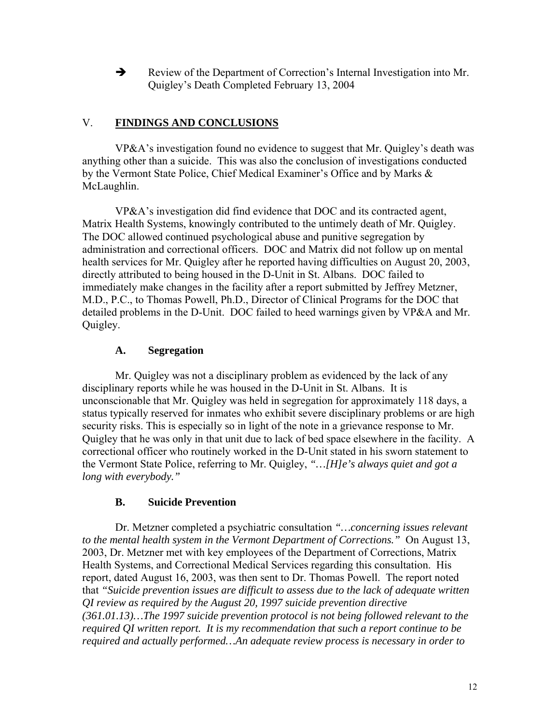$\rightarrow$  Review of the Department of Correction's Internal Investigation into Mr. Quigley's Death Completed February 13, 2004

### V. **FINDINGS AND CONCLUSIONS**

VP&A's investigation found no evidence to suggest that Mr. Quigley's death was anything other than a suicide. This was also the conclusion of investigations conducted by the Vermont State Police, Chief Medical Examiner's Office and by Marks & McLaughlin.

VP&A's investigation did find evidence that DOC and its contracted agent, Matrix Health Systems, knowingly contributed to the untimely death of Mr. Quigley. The DOC allowed continued psychological abuse and punitive segregation by administration and correctional officers. DOC and Matrix did not follow up on mental health services for Mr. Quigley after he reported having difficulties on August 20, 2003, directly attributed to being housed in the D-Unit in St. Albans. DOC failed to immediately make changes in the facility after a report submitted by Jeffrey Metzner, M.D., P.C., to Thomas Powell, Ph.D., Director of Clinical Programs for the DOC that detailed problems in the D-Unit. DOC failed to heed warnings given by VP&A and Mr. Quigley.

### **A. Segregation**

Mr. Quigley was not a disciplinary problem as evidenced by the lack of any disciplinary reports while he was housed in the D-Unit in St. Albans. It is unconscionable that Mr. Quigley was held in segregation for approximately 118 days, a status typically reserved for inmates who exhibit severe disciplinary problems or are high security risks. This is especially so in light of the note in a grievance response to Mr. Quigley that he was only in that unit due to lack of bed space elsewhere in the facility. A correctional officer who routinely worked in the D-Unit stated in his sworn statement to the Vermont State Police, referring to Mr. Quigley, *"…[H]e's always quiet and got a long with everybody."*

### **B. Suicide Prevention**

Dr. Metzner completed a psychiatric consultation *"…concerning issues relevant to the mental health system in the Vermont Department of Corrections."* On August 13, 2003, Dr. Metzner met with key employees of the Department of Corrections, Matrix Health Systems, and Correctional Medical Services regarding this consultation. His report, dated August 16, 2003, was then sent to Dr. Thomas Powell. The report noted that *"Suicide prevention issues are difficult to assess due to the lack of adequate written QI review as required by the August 20, 1997 suicide prevention directive (361.01.13)…The 1997 suicide prevention protocol is not being followed relevant to the required QI written report. It is my recommendation that such a report continue to be required and actually performed…An adequate review process is necessary in order to*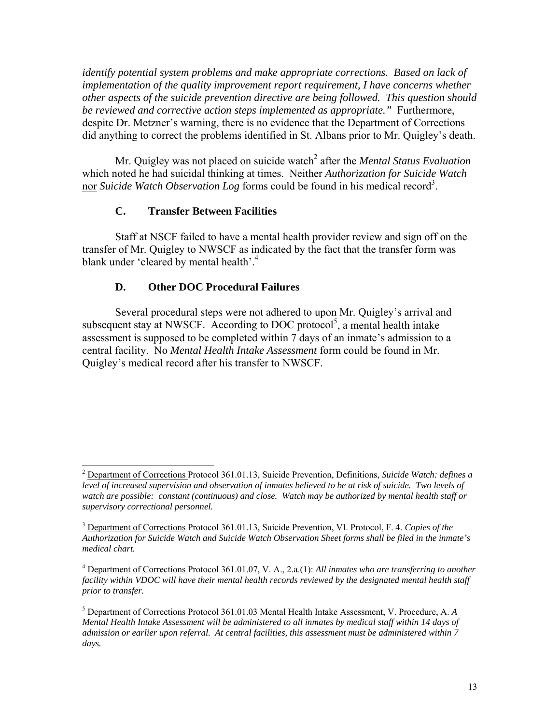*identify potential system problems and make appropriate corrections. Based on lack of implementation of the quality improvement report requirement, I have concerns whether other aspects of the suicide prevention directive are being followed. This question should be reviewed and corrective action steps implemented as appropriate."* Furthermore, despite Dr. Metzner's warning, there is no evidence that the Department of Corrections did anything to correct the problems identified in St. Albans prior to Mr. Quigley's death.

Mr. Quigley was not placed on suicide watch<sup>2</sup> after the *Mental Status Evaluation* which noted he had suicidal thinking at times. Neither *Authorization for Suicide Watch*  nor *Suicide Watch Observation Log* forms could be found in his medical record<sup>3</sup>.

#### **C. Transfer Between Facilities**

Staff at NSCF failed to have a mental health provider review and sign off on the transfer of Mr. Quigley to NWSCF as indicated by the fact that the transfer form was blank under 'cleared by mental health'.<sup>4</sup>

#### **D. Other DOC Procedural Failures**

Several procedural steps were not adhered to upon Mr. Quigley's arrival and subsequent stay at NWSCF. According to DOC protocol<sup>5</sup>, a mental health intake assessment is supposed to be completed within 7 days of an inmate's admission to a central facility. No *Mental Health Intake Assessment* form could be found in Mr. Quigley's medical record after his transfer to NWSCF.

 <sup>2</sup> Department of Corrections Protocol 361.01.13, Suicide Prevention, Definitions, *Suicide Watch: defines a level of increased supervision and observation of inmates believed to be at risk of suicide. Two levels of watch are possible: constant (continuous) and close. Watch may be authorized by mental health staff or supervisory correctional personnel.* 

<sup>3</sup> Department of Corrections Protocol 361.01.13, Suicide Prevention, VI. Protocol, F. 4. *Copies of the Authorization for Suicide Watch and Suicide Watch Observation Sheet forms shall be filed in the inmate's medical chart.*

<sup>4</sup> Department of Corrections Protocol 361.01.07, V. A., 2.a.(1): *All inmates who are transferring to another facility within VDOC will have their mental health records reviewed by the designated mental health staff prior to transfer.* 

<sup>5</sup> Department of Corrections Protocol 361.01.03 Mental Health Intake Assessment, V. Procedure, A. *A Mental Health Intake Assessment will be administered to all inmates by medical staff within 14 days of admission or earlier upon referral. At central facilities, this assessment must be administered within 7 days.*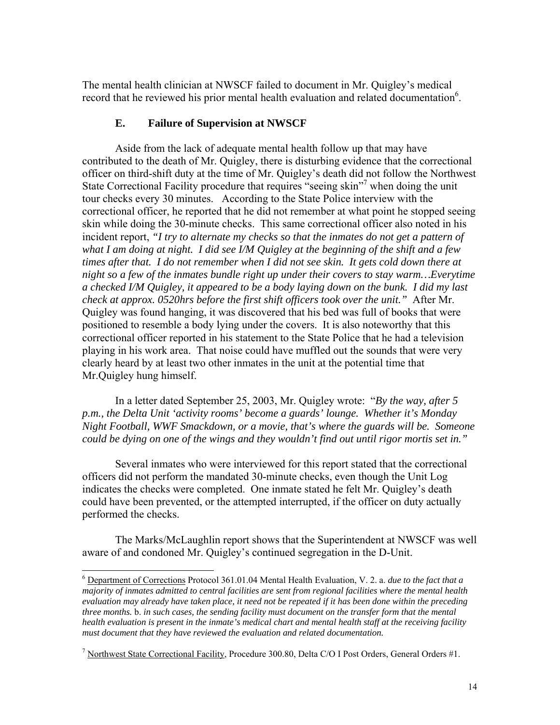The mental health clinician at NWSCF failed to document in Mr. Quigley's medical record that he reviewed his prior mental health evaluation and related documentation<sup>6</sup>.

#### **E. Failure of Supervision at NWSCF**

Aside from the lack of adequate mental health follow up that may have contributed to the death of Mr. Quigley, there is disturbing evidence that the correctional officer on third-shift duty at the time of Mr. Quigley's death did not follow the Northwest State Correctional Facility procedure that requires "seeing skin"<sup>7</sup> when doing the unit tour checks every 30 minutes. According to the State Police interview with the correctional officer, he reported that he did not remember at what point he stopped seeing skin while doing the 30-minute checks. This same correctional officer also noted in his incident report, *"I try to alternate my checks so that the inmates do not get a pattern of what I am doing at night. I did see I/M Quigley at the beginning of the shift and a few times after that. I do not remember when I did not see skin. It gets cold down there at night so a few of the inmates bundle right up under their covers to stay warm…Everytime a checked I/M Quigley, it appeared to be a body laying down on the bunk. I did my last check at approx. 0520hrs before the first shift officers took over the unit."* After Mr. Quigley was found hanging, it was discovered that his bed was full of books that were positioned to resemble a body lying under the covers. It is also noteworthy that this correctional officer reported in his statement to the State Police that he had a television playing in his work area. That noise could have muffled out the sounds that were very clearly heard by at least two other inmates in the unit at the potential time that Mr.Quigley hung himself.

In a letter dated September 25, 2003, Mr. Quigley wrote: "*By the way, after 5 p.m., the Delta Unit 'activity rooms' become a guards' lounge. Whether it's Monday Night Football, WWF Smackdown, or a movie, that's where the guards will be. Someone could be dying on one of the wings and they wouldn't find out until rigor mortis set in."*

Several inmates who were interviewed for this report stated that the correctional officers did not perform the mandated 30-minute checks, even though the Unit Log indicates the checks were completed. One inmate stated he felt Mr. Quigley's death could have been prevented, or the attempted interrupted, if the officer on duty actually performed the checks.

The Marks/McLaughlin report shows that the Superintendent at NWSCF was well aware of and condoned Mr. Quigley's continued segregation in the D-Unit.

 <sup>6</sup> Department of Corrections Protocol 361.01.04 Mental Health Evaluation, V. 2. a. *due to the fact that <sup>a</sup> majority of inmates admitted to central facilities are sent from regional facilities where the mental health evaluation may already have taken place, it need not be repeated if it has been done within the preceding three months.* b. *in such cases, the sending facility must document on the transfer form that the mental health evaluation is present in the inmate's medical chart and mental health staff at the receiving facility must document that they have reviewed the evaluation and related documentation.*

<sup>&</sup>lt;sup>7</sup> Northwest State Correctional Facility, Procedure 300.80, Delta C/O I Post Orders, General Orders #1.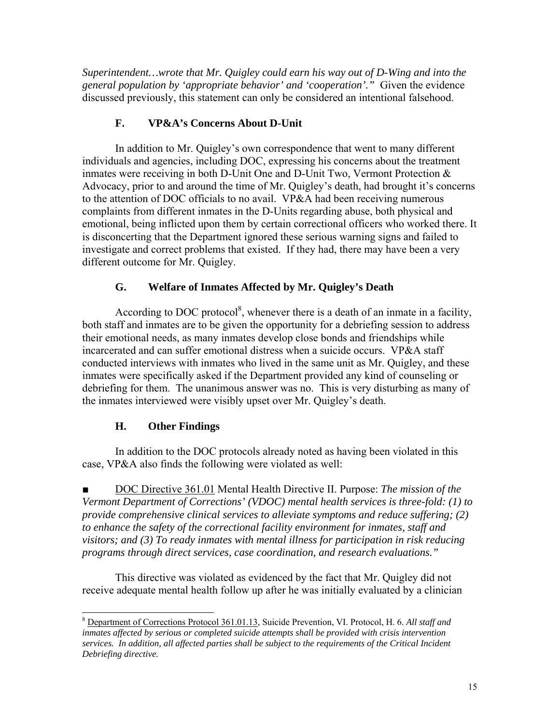*Superintendent…wrote that Mr. Quigley could earn his way out of D-Wing and into the general population by 'appropriate behavior' and 'cooperation'."* Given the evidence discussed previously, this statement can only be considered an intentional falsehood.

## **F. VP&A's Concerns About D-Unit**

In addition to Mr. Quigley's own correspondence that went to many different individuals and agencies, including DOC, expressing his concerns about the treatment inmates were receiving in both D-Unit One and D-Unit Two, Vermont Protection & Advocacy, prior to and around the time of Mr. Quigley's death, had brought it's concerns to the attention of DOC officials to no avail. VP&A had been receiving numerous complaints from different inmates in the D-Units regarding abuse, both physical and emotional, being inflicted upon them by certain correctional officers who worked there. It is disconcerting that the Department ignored these serious warning signs and failed to investigate and correct problems that existed. If they had, there may have been a very different outcome for Mr. Quigley.

## **G. Welfare of Inmates Affected by Mr. Quigley's Death**

According to DOC protocol<sup>8</sup>, whenever there is a death of an inmate in a facility, both staff and inmates are to be given the opportunity for a debriefing session to address their emotional needs, as many inmates develop close bonds and friendships while incarcerated and can suffer emotional distress when a suicide occurs. VP&A staff conducted interviews with inmates who lived in the same unit as Mr. Quigley, and these inmates were specifically asked if the Department provided any kind of counseling or debriefing for them. The unanimous answer was no. This is very disturbing as many of the inmates interviewed were visibly upset over Mr. Quigley's death.

# **H. Other Findings**

In addition to the DOC protocols already noted as having been violated in this case, VP&A also finds the following were violated as well:

■ DOC Directive 361.01 Mental Health Directive II. Purpose: *The mission of the Vermont Department of Corrections' (VDOC) mental health services is three-fold: (1) to provide comprehensive clinical services to alleviate symptoms and reduce suffering; (2) to enhance the safety of the correctional facility environment for inmates, staff and visitors; and (3) To ready inmates with mental illness for participation in risk reducing programs through direct services, case coordination, and research evaluations."* 

This directive was violated as evidenced by the fact that Mr. Quigley did not receive adequate mental health follow up after he was initially evaluated by a clinician

 <sup>8</sup> Department of Corrections Protocol 361.01.13, Suicide Prevention, VI. Protocol, H. 6. *All staff and inmates affected by serious or completed suicide attempts shall be provided with crisis intervention services. In addition, all affected parties shall be subject to the requirements of the Critical Incident Debriefing directive.*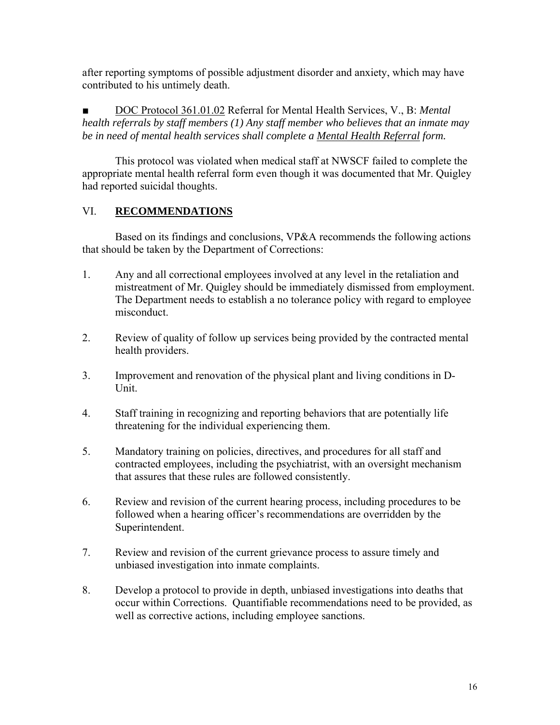after reporting symptoms of possible adjustment disorder and anxiety, which may have contributed to his untimely death.

DOC Protocol 361.01.02 Referral for Mental Health Services, V., B: Mental *health referrals by staff members (1) Any staff member who believes that an inmate may be in need of mental health services shall complete a Mental Health Referral form.* 

This protocol was violated when medical staff at NWSCF failed to complete the appropriate mental health referral form even though it was documented that Mr. Quigley had reported suicidal thoughts.

# VI. **RECOMMENDATIONS**

Based on its findings and conclusions, VP&A recommends the following actions that should be taken by the Department of Corrections:

- 1. Any and all correctional employees involved at any level in the retaliation and mistreatment of Mr. Quigley should be immediately dismissed from employment. The Department needs to establish a no tolerance policy with regard to employee misconduct.
- 2. Review of quality of follow up services being provided by the contracted mental health providers.
- 3. Improvement and renovation of the physical plant and living conditions in D-Unit.
- 4. Staff training in recognizing and reporting behaviors that are potentially life threatening for the individual experiencing them.
- 5. Mandatory training on policies, directives, and procedures for all staff and contracted employees, including the psychiatrist, with an oversight mechanism that assures that these rules are followed consistently.
- 6. Review and revision of the current hearing process, including procedures to be followed when a hearing officer's recommendations are overridden by the Superintendent.
- 7. Review and revision of the current grievance process to assure timely and unbiased investigation into inmate complaints.
- 8. Develop a protocol to provide in depth, unbiased investigations into deaths that occur within Corrections. Quantifiable recommendations need to be provided, as well as corrective actions, including employee sanctions.